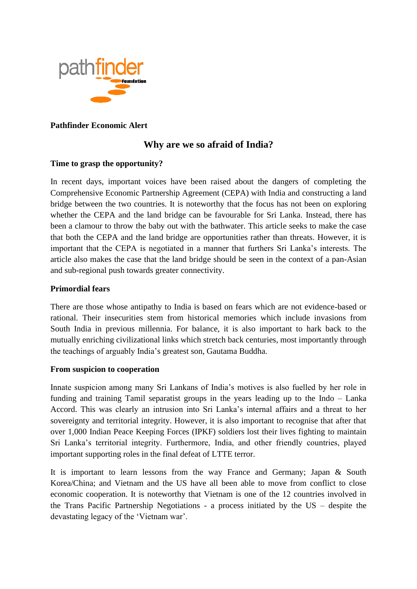

### **Pathfinder Economic Alert**

# **Why are we so afraid of India?**

# **Time to grasp the opportunity?**

In recent days, important voices have been raised about the dangers of completing the Comprehensive Economic Partnership Agreement (CEPA) with India and constructing a land bridge between the two countries. It is noteworthy that the focus has not been on exploring whether the CEPA and the land bridge can be favourable for Sri Lanka. Instead, there has been a clamour to throw the baby out with the bathwater. This article seeks to make the case that both the CEPA and the land bridge are opportunities rather than threats. However, it is important that the CEPA is negotiated in a manner that furthers Sri Lanka's interests. The article also makes the case that the land bridge should be seen in the context of a pan-Asian and sub-regional push towards greater connectivity.

### **Primordial fears**

There are those whose antipathy to India is based on fears which are not evidence-based or rational. Their insecurities stem from historical memories which include invasions from South India in previous millennia. For balance, it is also important to hark back to the mutually enriching civilizational links which stretch back centuries, most importantly through the teachings of arguably India's greatest son, Gautama Buddha.

#### **From suspicion to cooperation**

Innate suspicion among many Sri Lankans of India's motives is also fuelled by her role in funding and training Tamil separatist groups in the years leading up to the Indo – Lanka Accord. This was clearly an intrusion into Sri Lanka's internal affairs and a threat to her sovereignty and territorial integrity. However, it is also important to recognise that after that over 1,000 Indian Peace Keeping Forces (IPKF) soldiers lost their lives fighting to maintain Sri Lanka's territorial integrity. Furthermore, India, and other friendly countries, played important supporting roles in the final defeat of LTTE terror.

It is important to learn lessons from the way France and Germany; Japan & South Korea/China; and Vietnam and the US have all been able to move from conflict to close economic cooperation. It is noteworthy that Vietnam is one of the 12 countries involved in the Trans Pacific Partnership Negotiations - a process initiated by the US – despite the devastating legacy of the 'Vietnam war'.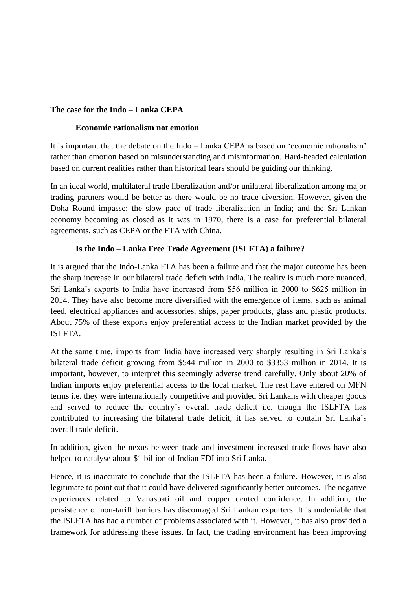### **The case for the Indo – Lanka CEPA**

#### **Economic rationalism not emotion**

It is important that the debate on the Indo – Lanka CEPA is based on 'economic rationalism' rather than emotion based on misunderstanding and misinformation. Hard-headed calculation based on current realities rather than historical fears should be guiding our thinking.

In an ideal world, multilateral trade liberalization and/or unilateral liberalization among major trading partners would be better as there would be no trade diversion. However, given the Doha Round impasse; the slow pace of trade liberalization in India; and the Sri Lankan economy becoming as closed as it was in 1970, there is a case for preferential bilateral agreements, such as CEPA or the FTA with China.

### **Is the Indo – Lanka Free Trade Agreement (ISLFTA) a failure?**

It is argued that the Indo-Lanka FTA has been a failure and that the major outcome has been the sharp increase in our bilateral trade deficit with India. The reality is much more nuanced. Sri Lanka's exports to India have increased from \$56 million in 2000 to \$625 million in 2014. They have also become more diversified with the emergence of items, such as animal feed, electrical appliances and accessories, ships, paper products, glass and plastic products. About 75% of these exports enjoy preferential access to the Indian market provided by the ISLFTA.

At the same time, imports from India have increased very sharply resulting in Sri Lanka's bilateral trade deficit growing from \$544 million in 2000 to \$3353 million in 2014. It is important, however, to interpret this seemingly adverse trend carefully. Only about 20% of Indian imports enjoy preferential access to the local market. The rest have entered on MFN terms i.e. they were internationally competitive and provided Sri Lankans with cheaper goods and served to reduce the country's overall trade deficit i.e. though the ISLFTA has contributed to increasing the bilateral trade deficit, it has served to contain Sri Lanka's overall trade deficit.

In addition, given the nexus between trade and investment increased trade flows have also helped to catalyse about \$1 billion of Indian FDI into Sri Lanka.

Hence, it is inaccurate to conclude that the ISLFTA has been a failure. However, it is also legitimate to point out that it could have delivered significantly better outcomes. The negative experiences related to Vanaspati oil and copper dented confidence. In addition, the persistence of non-tariff barriers has discouraged Sri Lankan exporters. It is undeniable that the ISLFTA has had a number of problems associated with it. However, it has also provided a framework for addressing these issues. In fact, the trading environment has been improving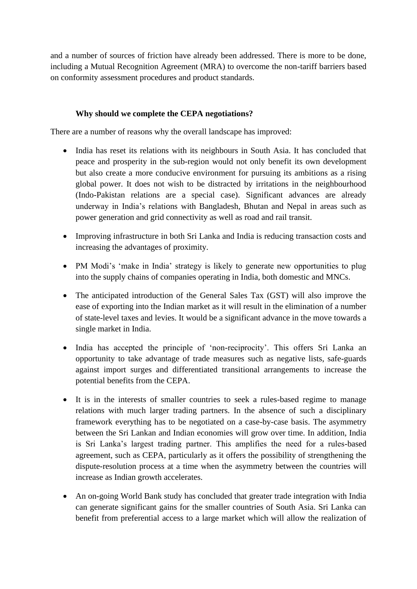and a number of sources of friction have already been addressed. There is more to be done, including a Mutual Recognition Agreement (MRA) to overcome the non-tariff barriers based on conformity assessment procedures and product standards.

# **Why should we complete the CEPA negotiations?**

There are a number of reasons why the overall landscape has improved:

- India has reset its relations with its neighbours in South Asia. It has concluded that peace and prosperity in the sub-region would not only benefit its own development but also create a more conducive environment for pursuing its ambitions as a rising global power. It does not wish to be distracted by irritations in the neighbourhood (Indo-Pakistan relations are a special case). Significant advances are already underway in India's relations with Bangladesh, Bhutan and Nepal in areas such as power generation and grid connectivity as well as road and rail transit.
- Improving infrastructure in both Sri Lanka and India is reducing transaction costs and increasing the advantages of proximity.
- PM Modi's 'make in India' strategy is likely to generate new opportunities to plug into the supply chains of companies operating in India, both domestic and MNCs.
- The anticipated introduction of the General Sales Tax (GST) will also improve the ease of exporting into the Indian market as it will result in the elimination of a number of state-level taxes and levies. It would be a significant advance in the move towards a single market in India.
- India has accepted the principle of 'non-reciprocity'. This offers Sri Lanka an opportunity to take advantage of trade measures such as negative lists, safe-guards against import surges and differentiated transitional arrangements to increase the potential benefits from the CEPA.
- It is in the interests of smaller countries to seek a rules-based regime to manage relations with much larger trading partners. In the absence of such a disciplinary framework everything has to be negotiated on a case-by-case basis. The asymmetry between the Sri Lankan and Indian economies will grow over time. In addition, India is Sri Lanka's largest trading partner. This amplifies the need for a rules-based agreement, such as CEPA, particularly as it offers the possibility of strengthening the dispute-resolution process at a time when the asymmetry between the countries will increase as Indian growth accelerates.
- An on-going World Bank study has concluded that greater trade integration with India can generate significant gains for the smaller countries of South Asia. Sri Lanka can benefit from preferential access to a large market which will allow the realization of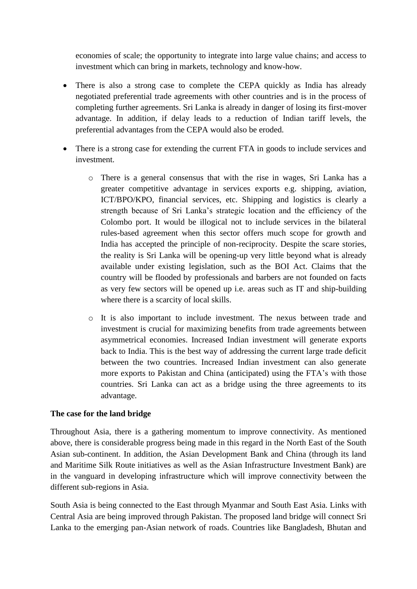economies of scale; the opportunity to integrate into large value chains; and access to investment which can bring in markets, technology and know-how.

- There is also a strong case to complete the CEPA quickly as India has already negotiated preferential trade agreements with other countries and is in the process of completing further agreements. Sri Lanka is already in danger of losing its first-mover advantage. In addition, if delay leads to a reduction of Indian tariff levels, the preferential advantages from the CEPA would also be eroded.
- There is a strong case for extending the current FTA in goods to include services and investment.
	- o There is a general consensus that with the rise in wages, Sri Lanka has a greater competitive advantage in services exports e.g. shipping, aviation, ICT/BPO/KPO, financial services, etc. Shipping and logistics is clearly a strength because of Sri Lanka's strategic location and the efficiency of the Colombo port. It would be illogical not to include services in the bilateral rules-based agreement when this sector offers much scope for growth and India has accepted the principle of non-reciprocity. Despite the scare stories, the reality is Sri Lanka will be opening-up very little beyond what is already available under existing legislation, such as the BOI Act. Claims that the country will be flooded by professionals and barbers are not founded on facts as very few sectors will be opened up i.e. areas such as IT and ship-building where there is a scarcity of local skills.
	- o It is also important to include investment. The nexus between trade and investment is crucial for maximizing benefits from trade agreements between asymmetrical economies. Increased Indian investment will generate exports back to India. This is the best way of addressing the current large trade deficit between the two countries. Increased Indian investment can also generate more exports to Pakistan and China (anticipated) using the FTA's with those countries. Sri Lanka can act as a bridge using the three agreements to its advantage.

# **The case for the land bridge**

Throughout Asia, there is a gathering momentum to improve connectivity. As mentioned above, there is considerable progress being made in this regard in the North East of the South Asian sub-continent. In addition, the Asian Development Bank and China (through its land and Maritime Silk Route initiatives as well as the Asian Infrastructure Investment Bank) are in the vanguard in developing infrastructure which will improve connectivity between the different sub-regions in Asia.

South Asia is being connected to the East through Myanmar and South East Asia. Links with Central Asia are being improved through Pakistan. The proposed land bridge will connect Sri Lanka to the emerging pan-Asian network of roads. Countries like Bangladesh, Bhutan and